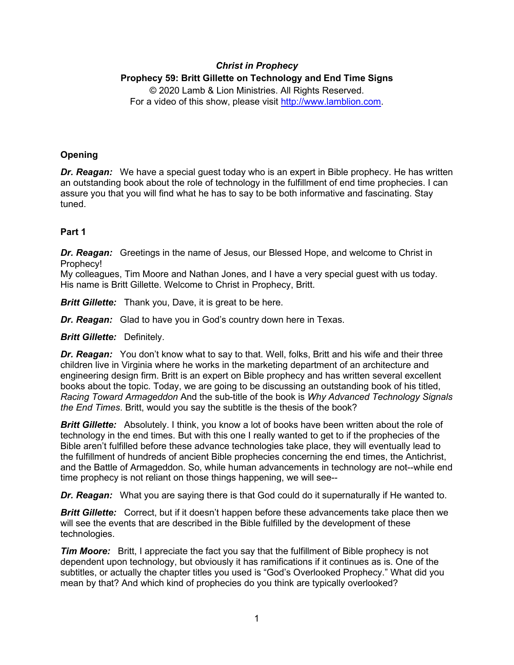# *Christ in Prophecy* **Prophecy 59: Britt Gillette on Technology and End Time Signs** © 2020 Lamb & Lion Ministries. All Rights Reserved.

For a video of this show, please visit [http://www.lamblion.com.](http://www.lamblion.com/)

# **Opening**

*Dr. Reagan:* We have a special guest today who is an expert in Bible prophecy. He has written an outstanding book about the role of technology in the fulfillment of end time prophecies. I can assure you that you will find what he has to say to be both informative and fascinating. Stay tuned.

## **Part 1**

*Dr. Reagan:* Greetings in the name of Jesus, our Blessed Hope, and welcome to Christ in Prophecy!

My colleagues, Tim Moore and Nathan Jones, and I have a very special guest with us today. His name is Britt Gillette. Welcome to Christ in Prophecy, Britt.

*Britt Gillette:* Thank you, Dave, it is great to be here.

*Dr. Reagan:* Glad to have you in God's country down here in Texas.

*Britt Gillette:* Definitely.

*Dr. Reagan:* You don't know what to say to that. Well, folks, Britt and his wife and their three children live in Virginia where he works in the marketing department of an architecture and engineering design firm. Britt is an expert on Bible prophecy and has written several excellent books about the topic. Today, we are going to be discussing an outstanding book of his titled, *Racing Toward Armageddon* And the sub-title of the book is *Why Advanced Technology Signals the End Times*. Britt, would you say the subtitle is the thesis of the book?

**Britt Gillette:** Absolutely. I think, you know a lot of books have been written about the role of technology in the end times. But with this one I really wanted to get to if the prophecies of the Bible aren't fulfilled before these advance technologies take place, they will eventually lead to the fulfillment of hundreds of ancient Bible prophecies concerning the end times, the Antichrist, and the Battle of Armageddon. So, while human advancements in technology are not--while end time prophecy is not reliant on those things happening, we will see--

*Dr. Reagan:* What you are saying there is that God could do it supernaturally if He wanted to.

**Britt Gillette:** Correct, but if it doesn't happen before these advancements take place then we will see the events that are described in the Bible fulfilled by the development of these technologies.

*Tim Moore:* Britt, I appreciate the fact you say that the fulfillment of Bible prophecy is not dependent upon technology, but obviously it has ramifications if it continues as is. One of the subtitles, or actually the chapter titles you used is "God's Overlooked Prophecy." What did you mean by that? And which kind of prophecies do you think are typically overlooked?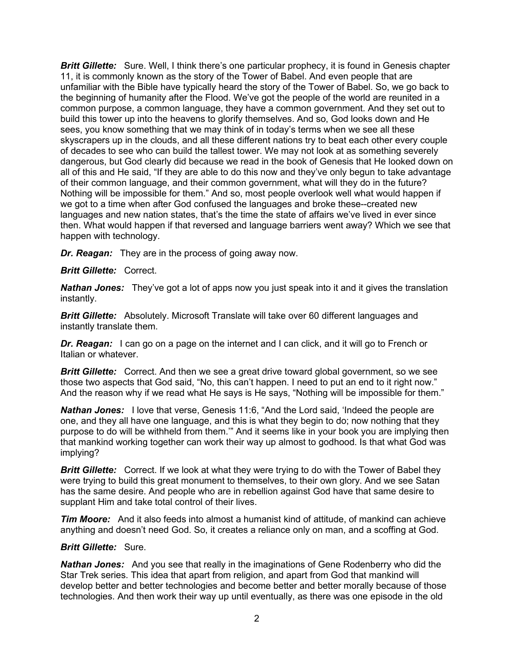*Britt Gillette:* Sure. Well, I think there's one particular prophecy, it is found in Genesis chapter 11, it is commonly known as the story of the Tower of Babel. And even people that are unfamiliar with the Bible have typically heard the story of the Tower of Babel. So, we go back to the beginning of humanity after the Flood. We've got the people of the world are reunited in a common purpose, a common language, they have a common government. And they set out to build this tower up into the heavens to glorify themselves. And so, God looks down and He sees, you know something that we may think of in today's terms when we see all these skyscrapers up in the clouds, and all these different nations try to beat each other every couple of decades to see who can build the tallest tower. We may not look at as something severely dangerous, but God clearly did because we read in the book of Genesis that He looked down on all of this and He said, "If they are able to do this now and they've only begun to take advantage of their common language, and their common government, what will they do in the future? Nothing will be impossible for them." And so, most people overlook well what would happen if we got to a time when after God confused the languages and broke these--created new languages and new nation states, that's the time the state of affairs we've lived in ever since then. What would happen if that reversed and language barriers went away? Which we see that happen with technology.

*Dr. Reagan:* They are in the process of going away now.

### *Britt Gillette:* Correct.

*Nathan Jones:* They've got a lot of apps now you just speak into it and it gives the translation instantly.

*Britt Gillette:* Absolutely. Microsoft Translate will take over 60 different languages and instantly translate them.

**Dr. Reagan:** I can go on a page on the internet and I can click, and it will go to French or Italian or whatever.

**Britt Gillette:** Correct. And then we see a great drive toward global government, so we see those two aspects that God said, "No, this can't happen. I need to put an end to it right now." And the reason why if we read what He says is He says, "Nothing will be impossible for them."

*Nathan Jones:* I love that verse, Genesis 11:6, "And the Lord said, 'Indeed the people are one, and they all have one language, and this is what they begin to do; now nothing that they purpose to do will be withheld from them.'" And it seems like in your book you are implying then that mankind working together can work their way up almost to godhood. Is that what God was implying?

**Britt Gillette:** Correct. If we look at what they were trying to do with the Tower of Babel they were trying to build this great monument to themselves, to their own glory. And we see Satan has the same desire. And people who are in rebellion against God have that same desire to supplant Him and take total control of their lives.

**Tim Moore:** And it also feeds into almost a humanist kind of attitude, of mankind can achieve anything and doesn't need God. So, it creates a reliance only on man, and a scoffing at God.

### *Britt Gillette:* Sure.

*Nathan Jones:* And you see that really in the imaginations of Gene Rodenberry who did the Star Trek series. This idea that apart from religion, and apart from God that mankind will develop better and better technologies and become better and better morally because of those technologies. And then work their way up until eventually, as there was one episode in the old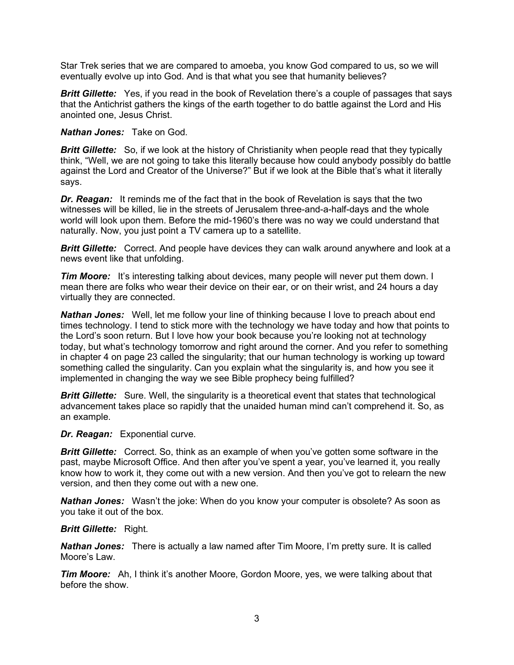Star Trek series that we are compared to amoeba, you know God compared to us, so we will eventually evolve up into God. And is that what you see that humanity believes?

**Britt Gillette:** Yes, if you read in the book of Revelation there's a couple of passages that says that the Antichrist gathers the kings of the earth together to do battle against the Lord and His anointed one, Jesus Christ.

*Nathan Jones:* Take on God.

*Britt Gillette:* So, if we look at the history of Christianity when people read that they typically think, "Well, we are not going to take this literally because how could anybody possibly do battle against the Lord and Creator of the Universe?" But if we look at the Bible that's what it literally says.

*Dr. Reagan:* It reminds me of the fact that in the book of Revelation is says that the two witnesses will be killed, lie in the streets of Jerusalem three-and-a-half-days and the whole world will look upon them. Before the mid-1960's there was no way we could understand that naturally. Now, you just point a TV camera up to a satellite.

**Britt Gillette:** Correct. And people have devices they can walk around anywhere and look at a news event like that unfolding.

*Tim Moore:* It's interesting talking about devices, many people will never put them down. I mean there are folks who wear their device on their ear, or on their wrist, and 24 hours a day virtually they are connected.

*Nathan Jones:* Well, let me follow your line of thinking because I love to preach about end times technology. I tend to stick more with the technology we have today and how that points to the Lord's soon return. But I love how your book because you're looking not at technology today, but what's technology tomorrow and right around the corner. And you refer to something in chapter 4 on page 23 called the singularity; that our human technology is working up toward something called the singularity. Can you explain what the singularity is, and how you see it implemented in changing the way we see Bible prophecy being fulfilled?

**Britt Gillette:** Sure. Well, the singularity is a theoretical event that states that technological advancement takes place so rapidly that the unaided human mind can't comprehend it. So, as an example.

### *Dr. Reagan:* Exponential curve.

**Britt Gillette:** Correct. So, think as an example of when you've gotten some software in the past, maybe Microsoft Office. And then after you've spent a year, you've learned it, you really know how to work it, they come out with a new version. And then you've got to relearn the new version, and then they come out with a new one.

*Nathan Jones:* Wasn't the joke: When do you know your computer is obsolete? As soon as you take it out of the box.

### *Britt Gillette:* Right.

*Nathan Jones:* There is actually a law named after Tim Moore, I'm pretty sure. It is called Moore's Law.

*Tim Moore:* Ah, I think it's another Moore, Gordon Moore, yes, we were talking about that before the show.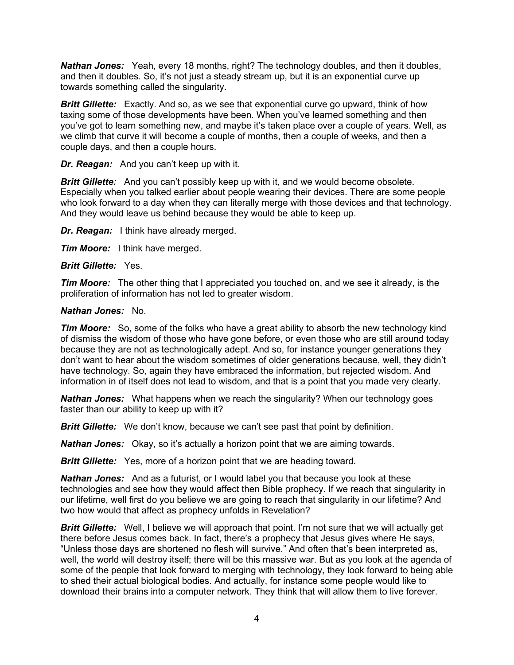*Nathan Jones:* Yeah, every 18 months, right? The technology doubles, and then it doubles, and then it doubles. So, it's not just a steady stream up, but it is an exponential curve up towards something called the singularity.

*Britt Gillette:* Exactly. And so, as we see that exponential curve go upward, think of how taxing some of those developments have been. When you've learned something and then you've got to learn something new, and maybe it's taken place over a couple of years. Well, as we climb that curve it will become a couple of months, then a couple of weeks, and then a couple days, and then a couple hours.

*Dr. Reagan:* And you can't keep up with it.

*Britt Gillette:* And you can't possibly keep up with it, and we would become obsolete. Especially when you talked earlier about people wearing their devices. There are some people who look forward to a day when they can literally merge with those devices and that technology. And they would leave us behind because they would be able to keep up.

*Dr. Reagan:* I think have already merged.

*Tim Moore:* I think have merged.

### *Britt Gillette:* Yes.

*Tim Moore:* The other thing that I appreciated you touched on, and we see it already, is the proliferation of information has not led to greater wisdom.

### *Nathan Jones:* No.

*Tim Moore:* So, some of the folks who have a great ability to absorb the new technology kind of dismiss the wisdom of those who have gone before, or even those who are still around today because they are not as technologically adept. And so, for instance younger generations they don't want to hear about the wisdom sometimes of older generations because, well, they didn't have technology. So, again they have embraced the information, but rejected wisdom. And information in of itself does not lead to wisdom, and that is a point that you made very clearly.

*Nathan Jones:* What happens when we reach the singularity? When our technology goes faster than our ability to keep up with it?

*Britt Gillette:* We don't know, because we can't see past that point by definition.

*Nathan Jones:* Okay, so it's actually a horizon point that we are aiming towards.

*Britt Gillette:* Yes, more of a horizon point that we are heading toward.

*Nathan Jones:* And as a futurist, or I would label you that because you look at these technologies and see how they would affect then Bible prophecy. If we reach that singularity in our lifetime, well first do you believe we are going to reach that singularity in our lifetime? And two how would that affect as prophecy unfolds in Revelation?

*Britt Gillette:* Well, I believe we will approach that point. I'm not sure that we will actually get there before Jesus comes back. In fact, there's a prophecy that Jesus gives where He says, "Unless those days are shortened no flesh will survive." And often that's been interpreted as, well, the world will destroy itself; there will be this massive war. But as you look at the agenda of some of the people that look forward to merging with technology, they look forward to being able to shed their actual biological bodies. And actually, for instance some people would like to download their brains into a computer network. They think that will allow them to live forever.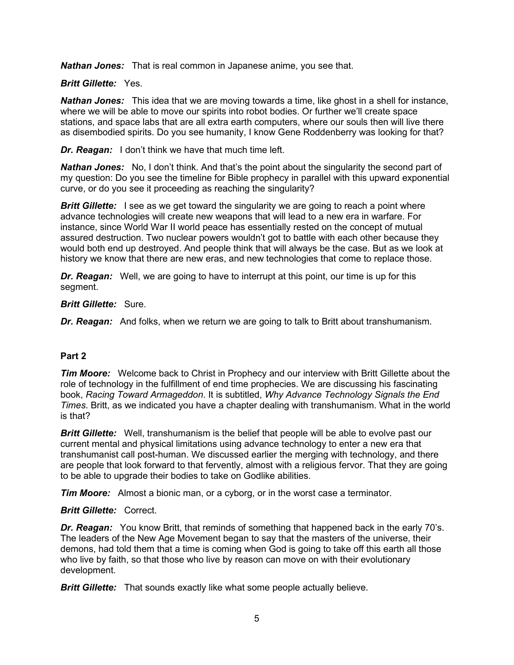*Nathan Jones:* That is real common in Japanese anime, you see that.

### *Britt Gillette:* Yes.

*Nathan Jones:* This idea that we are moving towards a time, like ghost in a shell for instance, where we will be able to move our spirits into robot bodies. Or further we'll create space stations, and space labs that are all extra earth computers, where our souls then will live there as disembodied spirits. Do you see humanity, I know Gene Roddenberry was looking for that?

*Dr. Reagan:* I don't think we have that much time left.

*Nathan Jones:* No, I don't think. And that's the point about the singularity the second part of my question: Do you see the timeline for Bible prophecy in parallel with this upward exponential curve, or do you see it proceeding as reaching the singularity?

*Britt Gillette:* I see as we get toward the singularity we are going to reach a point where advance technologies will create new weapons that will lead to a new era in warfare. For instance, since World War II world peace has essentially rested on the concept of mutual assured destruction. Two nuclear powers wouldn't got to battle with each other because they would both end up destroyed. And people think that will always be the case. But as we look at history we know that there are new eras, and new technologies that come to replace those.

*Dr. Reagan:* Well, we are going to have to interrupt at this point, our time is up for this segment.

### *Britt Gillette:* Sure.

*Dr. Reagan:* And folks, when we return we are going to talk to Britt about transhumanism.

## **Part 2**

**Tim Moore:** Welcome back to Christ in Prophecy and our interview with Britt Gillette about the role of technology in the fulfillment of end time prophecies. We are discussing his fascinating book, *Racing Toward Armageddon*. It is subtitled, *Why Advance Technology Signals the End Times*. Britt, as we indicated you have a chapter dealing with transhumanism. What in the world is that?

**Britt Gillette:** Well, transhumanism is the belief that people will be able to evolve past our current mental and physical limitations using advance technology to enter a new era that transhumanist call post-human. We discussed earlier the merging with technology, and there are people that look forward to that fervently, almost with a religious fervor. That they are going to be able to upgrade their bodies to take on Godlike abilities.

*Tim Moore:* Almost a bionic man, or a cyborg, or in the worst case a terminator.

### *Britt Gillette:* Correct.

*Dr. Reagan:* You know Britt, that reminds of something that happened back in the early 70's. The leaders of the New Age Movement began to say that the masters of the universe, their demons, had told them that a time is coming when God is going to take off this earth all those who live by faith, so that those who live by reason can move on with their evolutionary development.

*Britt Gillette:* That sounds exactly like what some people actually believe.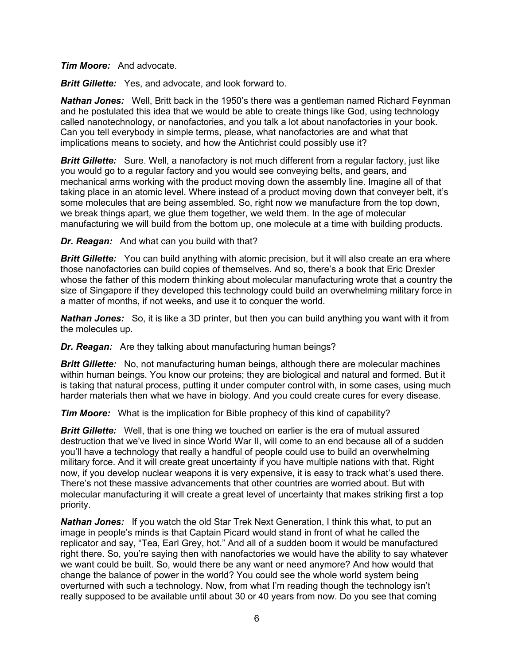*Tim Moore:* And advocate.

*Britt Gillette:* Yes, and advocate, and look forward to.

*Nathan Jones:* Well, Britt back in the 1950's there was a gentleman named Richard Feynman and he postulated this idea that we would be able to create things like God, using technology called nanotechnology, or nanofactories, and you talk a lot about nanofactories in your book. Can you tell everybody in simple terms, please, what nanofactories are and what that implications means to society, and how the Antichrist could possibly use it?

**Britt Gillette:** Sure. Well, a nanofactory is not much different from a regular factory, just like you would go to a regular factory and you would see conveying belts, and gears, and mechanical arms working with the product moving down the assembly line. Imagine all of that taking place in an atomic level. Where instead of a product moving down that conveyer belt, it's some molecules that are being assembled. So, right now we manufacture from the top down, we break things apart, we glue them together, we weld them. In the age of molecular manufacturing we will build from the bottom up, one molecule at a time with building products.

*Dr. Reagan:* And what can you build with that?

**Britt Gillette:** You can build anything with atomic precision, but it will also create an era where those nanofactories can build copies of themselves. And so, there's a book that Eric Drexler whose the father of this modern thinking about molecular manufacturing wrote that a country the size of Singapore if they developed this technology could build an overwhelming military force in a matter of months, if not weeks, and use it to conquer the world.

*Nathan Jones:* So, it is like a 3D printer, but then you can build anything you want with it from the molecules up.

*Dr. Reagan:* Are they talking about manufacturing human beings?

*Britt Gillette:* No, not manufacturing human beings, although there are molecular machines within human beings. You know our proteins; they are biological and natural and formed. But it is taking that natural process, putting it under computer control with, in some cases, using much harder materials then what we have in biology. And you could create cures for every disease.

*Tim Moore:* What is the implication for Bible prophecy of this kind of capability?

**Britt Gillette:** Well, that is one thing we touched on earlier is the era of mutual assured destruction that we've lived in since World War II, will come to an end because all of a sudden you'll have a technology that really a handful of people could use to build an overwhelming military force. And it will create great uncertainty if you have multiple nations with that. Right now, if you develop nuclear weapons it is very expensive, it is easy to track what's used there. There's not these massive advancements that other countries are worried about. But with molecular manufacturing it will create a great level of uncertainty that makes striking first a top priority.

*Nathan Jones:* If you watch the old Star Trek Next Generation, I think this what, to put an image in people's minds is that Captain Picard would stand in front of what he called the replicator and say, "Tea, Earl Grey, hot." And all of a sudden boom it would be manufactured right there. So, you're saying then with nanofactories we would have the ability to say whatever we want could be built. So, would there be any want or need anymore? And how would that change the balance of power in the world? You could see the whole world system being overturned with such a technology. Now, from what I'm reading though the technology isn't really supposed to be available until about 30 or 40 years from now. Do you see that coming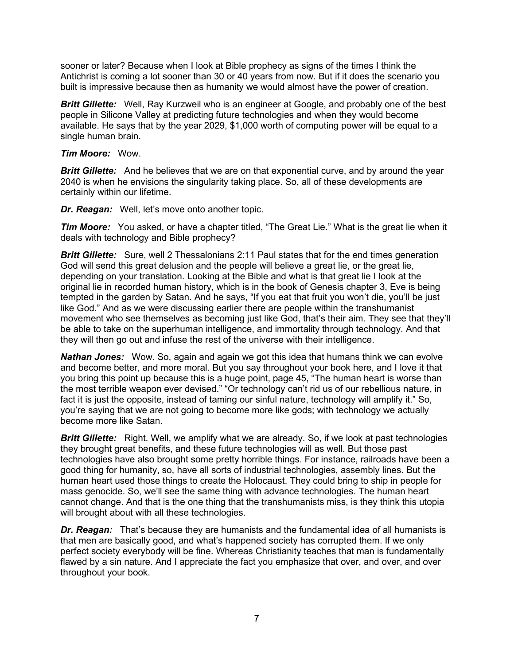sooner or later? Because when I look at Bible prophecy as signs of the times I think the Antichrist is coming a lot sooner than 30 or 40 years from now. But if it does the scenario you built is impressive because then as humanity we would almost have the power of creation.

**Britt Gillette:** Well, Ray Kurzweil who is an engineer at Google, and probably one of the best people in Silicone Valley at predicting future technologies and when they would become available. He says that by the year 2029, \$1,000 worth of computing power will be equal to a single human brain.

### *Tim Moore:* Wow.

**Britt Gillette:** And he believes that we are on that exponential curve, and by around the year 2040 is when he envisions the singularity taking place. So, all of these developments are certainly within our lifetime.

*Dr. Reagan:* Well, let's move onto another topic.

*Tim Moore:* You asked, or have a chapter titled, "The Great Lie." What is the great lie when it deals with technology and Bible prophecy?

**Britt Gillette:** Sure, well 2 Thessalonians 2:11 Paul states that for the end times generation God will send this great delusion and the people will believe a great lie, or the great lie, depending on your translation. Looking at the Bible and what is that great lie I look at the original lie in recorded human history, which is in the book of Genesis chapter 3, Eve is being tempted in the garden by Satan. And he says, "If you eat that fruit you won't die, you'll be just like God." And as we were discussing earlier there are people within the transhumanist movement who see themselves as becoming just like God, that's their aim. They see that they'll be able to take on the superhuman intelligence, and immortality through technology. And that they will then go out and infuse the rest of the universe with their intelligence.

*Nathan Jones:* Wow. So, again and again we got this idea that humans think we can evolve and become better, and more moral. But you say throughout your book here, and I love it that you bring this point up because this is a huge point, page 45, "The human heart is worse than the most terrible weapon ever devised." "Or technology can't rid us of our rebellious nature, in fact it is just the opposite, instead of taming our sinful nature, technology will amplify it." So, you're saying that we are not going to become more like gods; with technology we actually become more like Satan.

**Britt Gillette:** Right. Well, we amplify what we are already. So, if we look at past technologies they brought great benefits, and these future technologies will as well. But those past technologies have also brought some pretty horrible things. For instance, railroads have been a good thing for humanity, so, have all sorts of industrial technologies, assembly lines. But the human heart used those things to create the Holocaust. They could bring to ship in people for mass genocide. So, we'll see the same thing with advance technologies. The human heart cannot change. And that is the one thing that the transhumanists miss, is they think this utopia will brought about with all these technologies.

*Dr. Reagan:* That's because they are humanists and the fundamental idea of all humanists is that men are basically good, and what's happened society has corrupted them. If we only perfect society everybody will be fine. Whereas Christianity teaches that man is fundamentally flawed by a sin nature. And I appreciate the fact you emphasize that over, and over, and over throughout your book.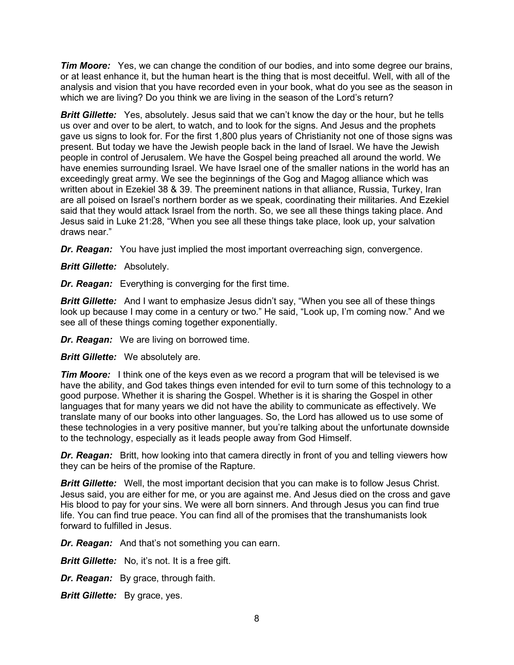*Tim Moore:* Yes, we can change the condition of our bodies, and into some degree our brains, or at least enhance it, but the human heart is the thing that is most deceitful. Well, with all of the analysis and vision that you have recorded even in your book, what do you see as the season in which we are living? Do you think we are living in the season of the Lord's return?

**Britt Gillette:** Yes, absolutely. Jesus said that we can't know the day or the hour, but he tells us over and over to be alert, to watch, and to look for the signs. And Jesus and the prophets gave us signs to look for. For the first 1,800 plus years of Christianity not one of those signs was present. But today we have the Jewish people back in the land of Israel. We have the Jewish people in control of Jerusalem. We have the Gospel being preached all around the world. We have enemies surrounding Israel. We have Israel one of the smaller nations in the world has an exceedingly great army. We see the beginnings of the Gog and Magog alliance which was written about in Ezekiel 38 & 39. The preeminent nations in that alliance, Russia, Turkey, Iran are all poised on Israel's northern border as we speak, coordinating their militaries. And Ezekiel said that they would attack Israel from the north. So, we see all these things taking place. And Jesus said in Luke 21:28, "When you see all these things take place, look up, your salvation draws near."

*Dr. Reagan:* You have just implied the most important overreaching sign, convergence.

*Britt Gillette:* Absolutely.

*Dr. Reagan:* Everything is converging for the first time.

**Britt Gillette:** And I want to emphasize Jesus didn't say, "When you see all of these things look up because I may come in a century or two." He said, "Look up, I'm coming now." And we see all of these things coming together exponentially.

*Dr. Reagan:* We are living on borrowed time.

*Britt Gillette:* We absolutely are.

*Tim Moore:* I think one of the keys even as we record a program that will be televised is we have the ability, and God takes things even intended for evil to turn some of this technology to a good purpose. Whether it is sharing the Gospel. Whether is it is sharing the Gospel in other languages that for many years we did not have the ability to communicate as effectively. We translate many of our books into other languages. So, the Lord has allowed us to use some of these technologies in a very positive manner, but you're talking about the unfortunate downside to the technology, especially as it leads people away from God Himself.

**Dr. Reagan:** Britt, how looking into that camera directly in front of you and telling viewers how they can be heirs of the promise of the Rapture.

**Britt Gillette:** Well, the most important decision that you can make is to follow Jesus Christ. Jesus said, you are either for me, or you are against me. And Jesus died on the cross and gave His blood to pay for your sins. We were all born sinners. And through Jesus you can find true life. You can find true peace. You can find all of the promises that the transhumanists look forward to fulfilled in Jesus.

*Dr. Reagan:* And that's not something you can earn.

*Britt Gillette:* No, it's not. It is a free gift.

*Dr. Reagan:* By grace, through faith.

*Britt Gillette:* By grace, yes.